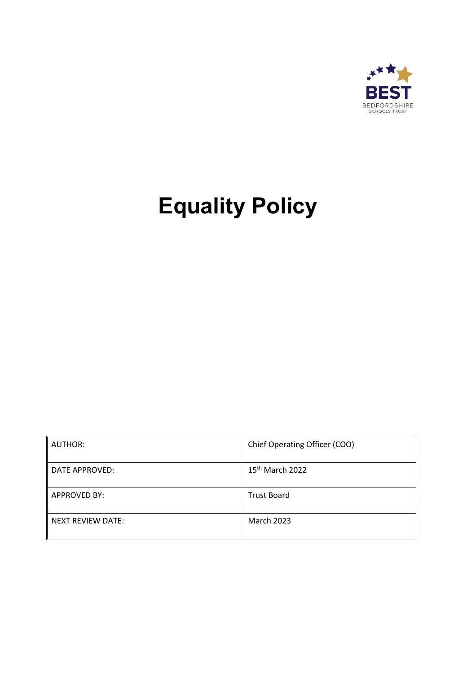

# **Equality Policy**

| AUTHOR:             | Chief Operating Officer (COO) |
|---------------------|-------------------------------|
| DATE APPROVED:      | 15 <sup>th</sup> March 2022   |
| <b>APPROVED BY:</b> | <b>Trust Board</b>            |
| NEXT REVIEW DATE:   | <b>March 2023</b>             |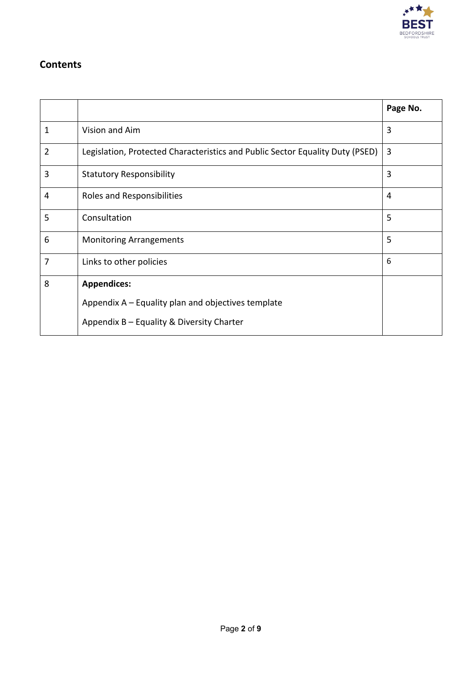

## **Contents**

|                |                                                                               | Page No. |
|----------------|-------------------------------------------------------------------------------|----------|
| 1              | Vision and Aim                                                                | 3        |
| $\overline{2}$ | Legislation, Protected Characteristics and Public Sector Equality Duty (PSED) | 3        |
| 3              | <b>Statutory Responsibility</b>                                               | 3        |
| 4              | Roles and Responsibilities                                                    | 4        |
| 5              | Consultation                                                                  | 5        |
| 6              | <b>Monitoring Arrangements</b>                                                | 5        |
| 7              | Links to other policies                                                       | 6        |
| 8              | <b>Appendices:</b>                                                            |          |
|                | Appendix A – Equality plan and objectives template                            |          |
|                | Appendix B - Equality & Diversity Charter                                     |          |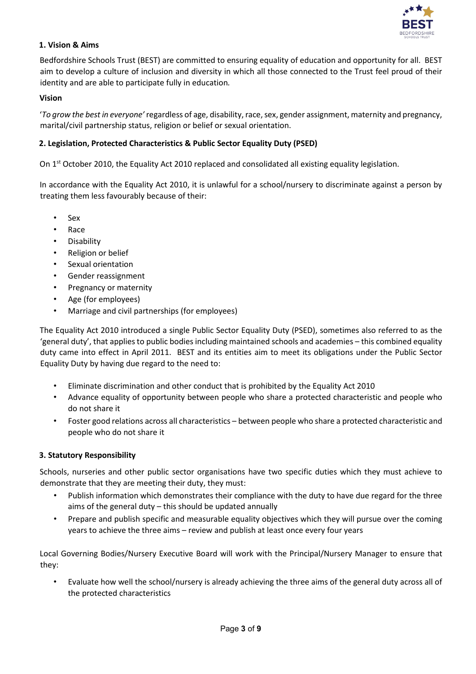

#### **1. Vision & Aims**

Bedfordshire Schools Trust (BEST) are committed to ensuring equality of education and opportunity for all. BEST aim to develop a culture of inclusion and diversity in which all those connected to the Trust feel proud of their identity and are able to participate fully in education*.* 

#### **Vision**

'*To grow the best in everyone'* regardless of age, disability, race, sex, gender assignment, maternity and pregnancy, marital/civil partnership status, religion or belief or sexual orientation.

#### **2. Legislation, Protected Characteristics & Public Sector Equality Duty (PSED)**

On 1<sup>st</sup> October 2010, the Equality Act 2010 replaced and consolidated all existing equality legislation.

In accordance with the Equality Act 2010, it is unlawful for a school/nursery to discriminate against a person by treating them less favourably because of their:

- Sex
- Race
- **Disability**
- Religion or belief
- Sexual orientation
- Gender reassignment
- Pregnancy or maternity
- Age (for employees)
- Marriage and civil partnerships (for employees)

The Equality Act 2010 introduced a single Public Sector Equality Duty (PSED), sometimes also referred to as the 'general duty', that applies to public bodies including maintained schools and academies – this combined equality duty came into effect in April 2011. BEST and its entities aim to meet its obligations under the Public Sector Equality Duty by having due regard to the need to:

- Eliminate discrimination and other conduct that is prohibited by the Equality Act 2010
- Advance equality of opportunity between people who share a protected characteristic and people who do not share it
- Foster good relations across all characteristics between people who share a protected characteristic and people who do not share it

#### **3. Statutory Responsibility**

Schools, nurseries and other public sector organisations have two specific duties which they must achieve to demonstrate that they are meeting their duty, they must:

- Publish information which demonstrates their compliance with the duty to have due regard for the three aims of the general duty – this should be updated annually
- Prepare and publish specific and measurable equality objectives which they will pursue over the coming years to achieve the three aims – review and publish at least once every four years

Local Governing Bodies/Nursery Executive Board will work with the Principal/Nursery Manager to ensure that they:

• Evaluate how well the school/nursery is already achieving the three aims of the general duty across all of the protected characteristics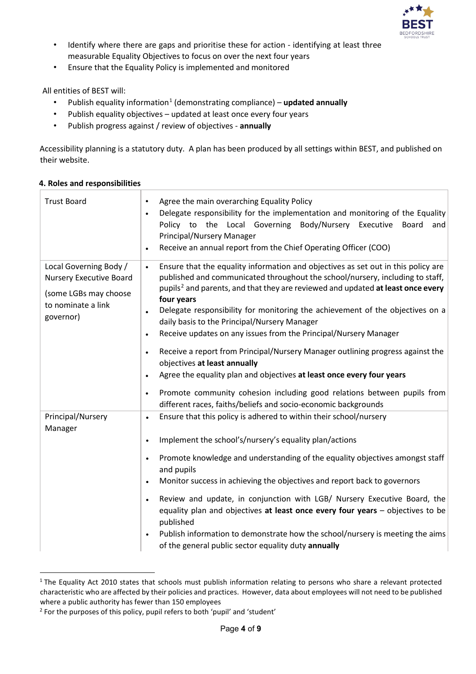

- Identify where there are gaps and prioritise these for action identifying at least three measurable Equality Objectives to focus on over the next four years
- Ensure that the Equality Policy is implemented and monitored

All entities of BEST will:

- Publish equality information<sup>[1](#page-3-0)</sup> (demonstrating compliance) **updated annually**
- Publish equality objectives updated at least once every four years
- Publish progress against / review of objectives **annually**

Accessibility planning is a statutory duty. A plan has been produced by all settings within BEST, and published on their website.

| <b>Trust Board</b>                                                                                                   | Agree the main overarching Equality Policy<br>$\bullet$<br>Delegate responsibility for the implementation and monitoring of the Equality<br>$\bullet$<br>Policy to the Local Governing<br>Body/Nursery Executive<br>Board<br>and<br><b>Principal/Nursery Manager</b><br>Receive an annual report from the Chief Operating Officer (COO)<br>$\bullet$                                                                                                                                                                                                                                                                                                                                                   |
|----------------------------------------------------------------------------------------------------------------------|--------------------------------------------------------------------------------------------------------------------------------------------------------------------------------------------------------------------------------------------------------------------------------------------------------------------------------------------------------------------------------------------------------------------------------------------------------------------------------------------------------------------------------------------------------------------------------------------------------------------------------------------------------------------------------------------------------|
| Local Governing Body /<br><b>Nursery Executive Board</b><br>(some LGBs may choose<br>to nominate a link<br>governor) | Ensure that the equality information and objectives as set out in this policy are<br>$\bullet$<br>published and communicated throughout the school/nursery, including to staff,<br>pupils <sup>2</sup> and parents, and that they are reviewed and updated at least once every<br>four years<br>Delegate responsibility for monitoring the achievement of the objectives on a<br>$\bullet$<br>daily basis to the Principal/Nursery Manager<br>Receive updates on any issues from the Principal/Nursery Manager<br>$\bullet$                                                                                                                                                                            |
|                                                                                                                      | Receive a report from Principal/Nursery Manager outlining progress against the<br>$\bullet$<br>objectives at least annually<br>Agree the equality plan and objectives at least once every four years<br>$\bullet$<br>Promote community cohesion including good relations between pupils from<br>$\bullet$<br>different races, faiths/beliefs and socio-economic backgrounds                                                                                                                                                                                                                                                                                                                            |
| Principal/Nursery<br>Manager                                                                                         | Ensure that this policy is adhered to within their school/nursery<br>$\bullet$<br>Implement the school's/nursery's equality plan/actions<br>$\bullet$<br>Promote knowledge and understanding of the equality objectives amongst staff<br>$\bullet$<br>and pupils<br>Monitor success in achieving the objectives and report back to governors<br>$\bullet$<br>Review and update, in conjunction with LGB/ Nursery Executive Board, the<br>$\bullet$<br>equality plan and objectives at least once every four years - objectives to be<br>published<br>Publish information to demonstrate how the school/nursery is meeting the aims<br>$\bullet$<br>of the general public sector equality duty annually |

#### **4. Roles and responsibilities**

<span id="page-3-0"></span><sup>&</sup>lt;sup>1</sup> The Equality Act 2010 states that schools must publish information relating to persons who share a relevant protected characteristic who are affected by their policies and practices. However, data about employees will not need to be published where a public authority has fewer than 150 employees

<span id="page-3-1"></span><sup>2</sup> For the purposes of this policy, pupil refers to both 'pupil' and 'student'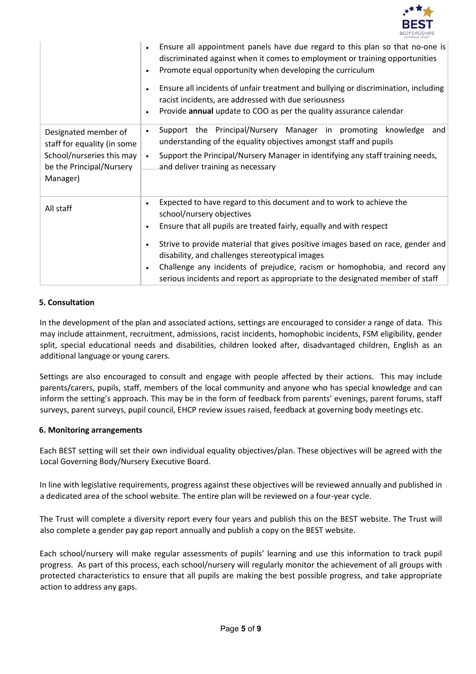

|                                                                                                                          | Ensure all appointment panels have due regard to this plan so that no-one is<br>$\bullet$<br>discriminated against when it comes to employment or training opportunities<br>Promote equal opportunity when developing the curriculum<br>$\bullet$<br>Ensure all incidents of unfair treatment and bullying or discrimination, including<br>$\bullet$<br>racist incidents, are addressed with due seriousness<br>Provide annual update to COO as per the quality assurance calendar<br>$\bullet$                                  |
|--------------------------------------------------------------------------------------------------------------------------|----------------------------------------------------------------------------------------------------------------------------------------------------------------------------------------------------------------------------------------------------------------------------------------------------------------------------------------------------------------------------------------------------------------------------------------------------------------------------------------------------------------------------------|
| Designated member of<br>staff for equality (in some<br>School/nurseries this may<br>be the Principal/Nursery<br>Manager) | Support the Principal/Nursery Manager in promoting knowledge<br>and<br>$\bullet$<br>understanding of the equality objectives amongst staff and pupils<br>Support the Principal/Nursery Manager in identifying any staff training needs,<br>$\bullet$<br>and deliver training as necessary                                                                                                                                                                                                                                        |
| All staff                                                                                                                | Expected to have regard to this document and to work to achieve the<br>$\bullet$<br>school/nursery objectives<br>Ensure that all pupils are treated fairly, equally and with respect<br>$\bullet$<br>Strive to provide material that gives positive images based on race, gender and<br>$\bullet$<br>disability, and challenges stereotypical images<br>Challenge any incidents of prejudice, racism or homophobia, and record any<br>$\bullet$<br>serious incidents and report as appropriate to the designated member of staff |

#### **5. Consultation**

In the development of the plan and associated actions, settings are encouraged to consider a range of data. This may include attainment, recruitment, admissions, racist incidents, homophobic incidents, FSM eligibility, gender split, special educational needs and disabilities, children looked after, disadvantaged children, English as an additional language or young carers.

Settings are also encouraged to consult and engage with people affected by their actions. This may include parents/carers, pupils, staff, members of the local community and anyone who has special knowledge and can inform the setting's approach. This may be in the form of feedback from parents' evenings, parent forums, staff surveys, parent surveys, pupil council, EHCP review issues raised, feedback at governing body meetings etc.

#### **6. Monitoring arrangements**

Each BEST setting will set their own individual equality objectives/plan. These objectives will be agreed with the Local Governing Body/Nursery Executive Board.

In line with legislative requirements, progress against these objectives will be reviewed annually and published in a dedicated area of the school website. The entire plan will be reviewed on a four-year cycle.

The Trust will complete a diversity report every four years and publish this on the BEST website. The Trust will also complete a gender pay gap report annually and publish a copy on the BEST website.

Each school/nursery will make regular assessments of pupils' learning and use this information to track pupil progress. As part of this process, each school/nursery will regularly monitor the achievement of all groups with protected characteristics to ensure that all pupils are making the best possible progress, and take appropriate action to address any gaps.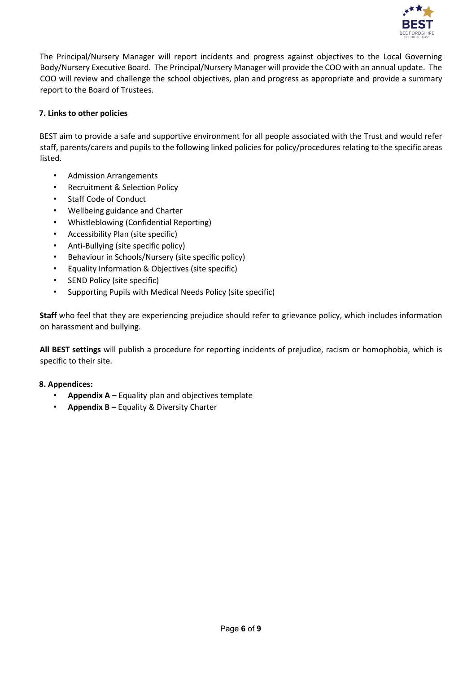

The Principal/Nursery Manager will report incidents and progress against objectives to the Local Governing Body/Nursery Executive Board. The Principal/Nursery Manager will provide the COO with an annual update. The COO will review and challenge the school objectives, plan and progress as appropriate and provide a summary report to the Board of Trustees.

#### **7. Links to other policies**

BEST aim to provide a safe and supportive environment for all people associated with the Trust and would refer staff, parents/carers and pupils to the following linked policies for policy/procedures relating to the specific areas listed.

- Admission Arrangements
- Recruitment & Selection Policy
- Staff Code of Conduct
- Wellbeing guidance and Charter
- Whistleblowing (Confidential Reporting)
- Accessibility Plan (site specific)
- Anti-Bullying (site specific policy)
- Behaviour in Schools/Nursery (site specific policy)
- Equality Information & Objectives (site specific)
- SEND Policy (site specific)
- Supporting Pupils with Medical Needs Policy (site specific)

**Staff** who feel that they are experiencing prejudice should refer to grievance policy, which includes information on harassment and bullying.

**All BEST settings** will publish a procedure for reporting incidents of prejudice, racism or homophobia, which is specific to their site.

#### **8. Appendices:**

- **Appendix A –** Equality plan and objectives template
- **Appendix B –** Equality & Diversity Charter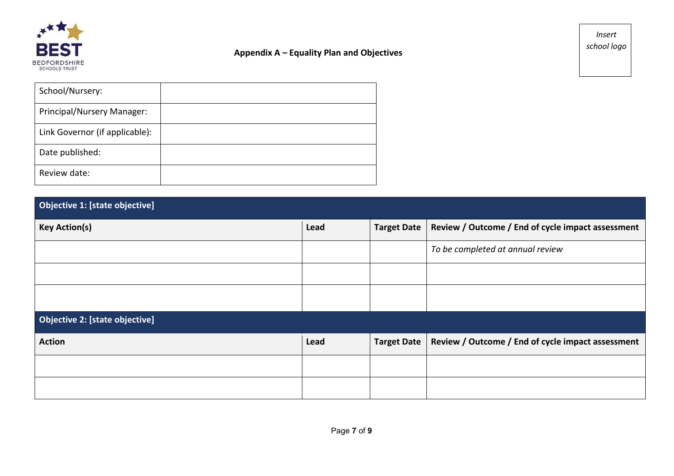

### **Appendix A – Equality Plan and Objectives**

*Insert school logo* 

| School/Nursery:                |  |
|--------------------------------|--|
| Principal/Nursery Manager:     |  |
| Link Governor (if applicable): |  |
| Date published:                |  |
| Review date:                   |  |

| Objective 1: [state objective] |
|--------------------------------|
|--------------------------------|

| <b>Key Action(s)</b>                  | Lead | <b>Target Date</b> | Review / Outcome / End of cycle impact assessment |
|---------------------------------------|------|--------------------|---------------------------------------------------|
|                                       |      |                    | To be completed at annual review                  |
|                                       |      |                    |                                                   |
|                                       |      |                    |                                                   |
| <b>Objective 2: [state objective]</b> |      |                    |                                                   |
| <b>Action</b>                         | Lead | <b>Target Date</b> | Review / Outcome / End of cycle impact assessment |
|                                       |      |                    |                                                   |
|                                       |      |                    |                                                   |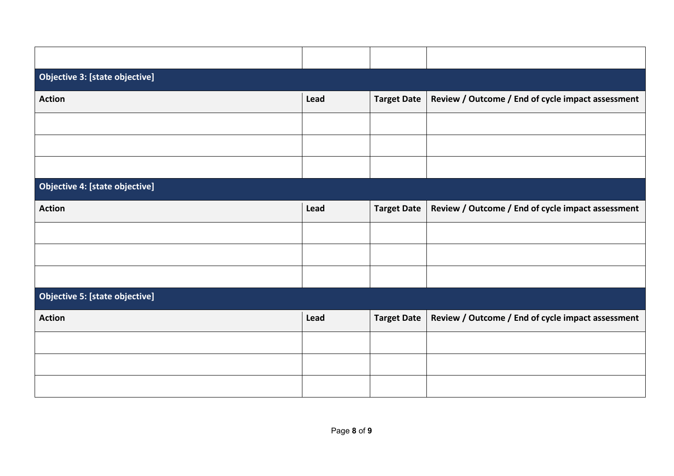| Lead | <b>Target Date</b> | Review / Outcome / End of cycle impact assessment |
|------|--------------------|---------------------------------------------------|
|      |                    |                                                   |
|      |                    |                                                   |
|      |                    |                                                   |
|      |                    |                                                   |
| Lead | <b>Target Date</b> | Review / Outcome / End of cycle impact assessment |
|      |                    |                                                   |
|      |                    |                                                   |
|      |                    |                                                   |
|      |                    |                                                   |
| Lead | <b>Target Date</b> | Review / Outcome / End of cycle impact assessment |
|      |                    |                                                   |
|      |                    |                                                   |
|      |                    |                                                   |
|      |                    |                                                   |